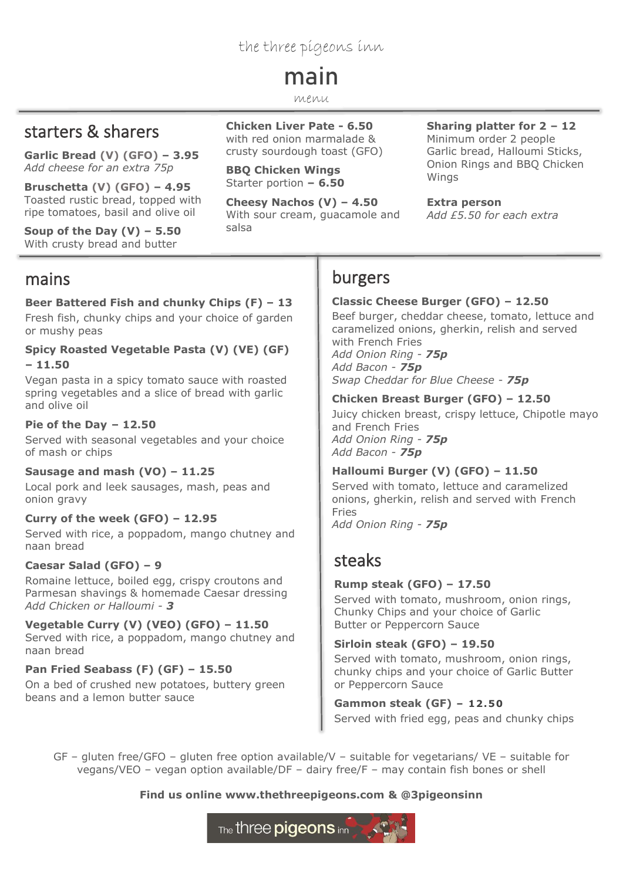### the three pigeons inn

# main

#### menu

### starters & sharers

**Garlic Bread (V) (GFO) – 3.95** *Add cheese for an extra 75p*

**Bruschetta (V) (GFO) – 4.95** Toasted rustic bread, topped with ripe tomatoes, basil and olive oil

**Soup of the Day (V) – 5.50** With crusty bread and butter

### mains

### **Beer Battered Fish and chunky Chips (F) – 13**

Fresh fish, chunky chips and your choice of garden or mushy peas

#### **Spicy Roasted Vegetable Pasta (V) (VE) (GF) – 11.50**

Vegan pasta in a spicy tomato sauce with roasted spring vegetables and a slice of bread with garlic and olive oil

### **Pie of the Day – 12.50**

Served with seasonal vegetables and your choice of mash or chips

### **Sausage and mash (VO) – 11.25**

Local pork and leek sausages, mash, peas and onion gravy

#### **Curry of the week (GFO) – 12.95**

Served with rice, a poppadom, mango chutney and naan bread

### **Caesar Salad (GFO) – 9**

Romaine lettuce, boiled egg, crispy croutons and Parmesan shavings & homemade Caesar dressing *Add Chicken or Halloumi - 3*

**Vegetable Curry (V) (VEO) (GFO) – 11.50** Served with rice, a poppadom, mango chutney and naan bread

**Pan Fried Seabass (F) (GF) – 15.50** On a bed of crushed new potatoes, buttery green beans and a lemon butter sauce

#### **Chicken Liver Pate - 6.50** with red onion marmalade & crusty sourdough toast (GFO)

**BBQ Chicken Wings** Starter portion **– 6.50**

**Cheesy Nachos (V) – 4.50** With sour cream, guacamole and salsa

#### **Sharing platter for 2 – 12** Minimum order 2 people Garlic bread, Halloumi Sticks, Onion Rings and BBQ Chicken Wings

**Extra person**

*Add £5.50 for each extra* 

### burgers

### **Classic Cheese Burger (GFO) – 12.50**

Beef burger, cheddar cheese, tomato, lettuce and caramelized onions, gherkin, relish and served with French Fries *Add Onion Ring - 75p Add Bacon - 75p Swap Cheddar for Blue Cheese* - *75p*

#### **Chicken Breast Burger (GFO) – 12.50**

Juicy chicken breast, crispy lettuce, Chipotle mayo and French Fries *Add Onion Ring - 75p Add Bacon - 75p*

#### **Halloumi Burger (V) (GFO) – 11.50**

Served with tomato, lettuce and caramelized onions, gherkin, relish and served with French Fries

*Add Onion Ring - 75p*

### steaks

### **Rump steak (GFO) – 17.50**

Served with tomato, mushroom, onion rings, Chunky Chips and your choice of Garlic Butter or Peppercorn Sauce

### **Sirloin steak (GFO) – 19.50**

Served with tomato, mushroom, onion rings, chunky chips and your choice of Garlic Butter or Peppercorn Sauce

**Gammon steak (GF) – 12.50** Served with fried egg, peas and chunky chips

GF – gluten free/GFO – gluten free option available/V – suitable for vegetarians/ VE – suitable for vegans/VEO – vegan option available/DF – dairy free/F – may contain fish bones or shell

### **Find us online www.thethreepigeons.com & @3pigeonsinn**